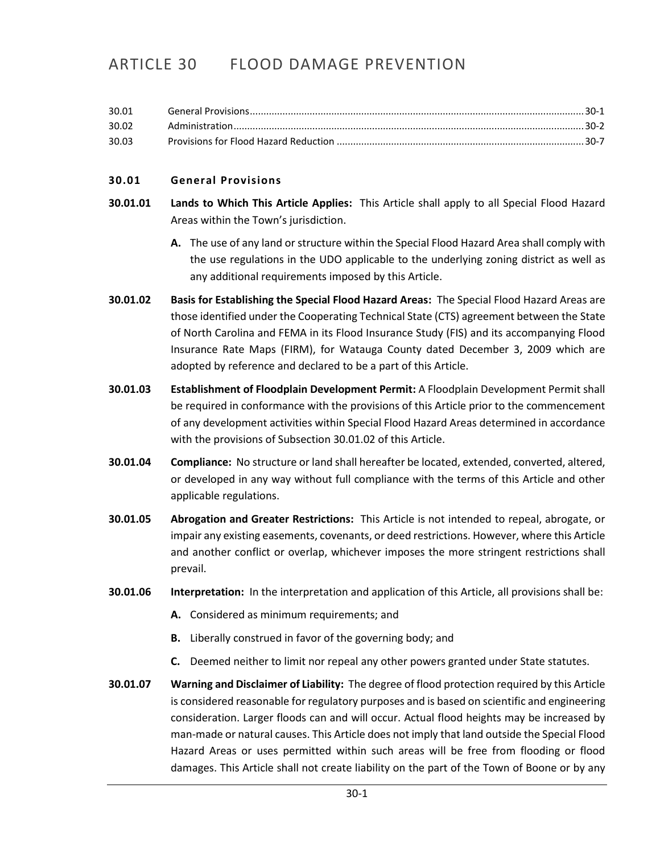# ARTICLE 30 FLOOD DAMAGE PREVENTION

| 30.01 |  |
|-------|--|
| 30.02 |  |
| 30.03 |  |

# <span id="page-0-0"></span>**30.01 General Provisions**

- **30.01.01 Lands to Which This Article Applies:** This Article shall apply to all Special Flood Hazard Areas within the Town's jurisdiction.
	- **A.** The use of any land or structure within the Special Flood Hazard Area shall comply with the use regulations in the UDO applicable to the underlying zoning district as well as any additional requirements imposed by this Article.
- **30.01.02 Basis for Establishing the Special Flood Hazard Areas:** The Special Flood Hazard Areas are those identified under the Cooperating Technical State (CTS) agreement between the State of North Carolina and FEMA in its Flood Insurance Study (FIS) and its accompanying Flood Insurance Rate Maps (FIRM), for Watauga County dated December 3, 2009 which are adopted by reference and declared to be a part of this Article.
- **30.01.03 Establishment of Floodplain Development Permit:** A Floodplain Development Permit shall be required in conformance with the provisions of this Article prior to the commencement of any development activities within Special Flood Hazard Areas determined in accordance with the provisions of Subsection 30.01.02 of this Article.
- **30.01.04 Compliance:** No structure or land shall hereafter be located, extended, converted, altered, or developed in any way without full compliance with the terms of this Article and other applicable regulations.
- **30.01.05 Abrogation and Greater Restrictions:** This Article is not intended to repeal, abrogate, or impair any existing easements, covenants, or deed restrictions. However, where this Article and another conflict or overlap, whichever imposes the more stringent restrictions shall prevail.
- **30.01.06 Interpretation:** In the interpretation and application of this Article, all provisions shall be:
	- **A.** Considered as minimum requirements; and
	- **B.** Liberally construed in favor of the governing body; and
	- **C.** Deemed neither to limit nor repeal any other powers granted under State statutes.
- **30.01.07 Warning and Disclaimer of Liability:** The degree of flood protection required by this Article is considered reasonable for regulatory purposes and is based on scientific and engineering consideration. Larger floods can and will occur. Actual flood heights may be increased by man-made or natural causes. This Article does not imply that land outside the Special Flood Hazard Areas or uses permitted within such areas will be free from flooding or flood damages. This Article shall not create liability on the part of the Town of Boone or by any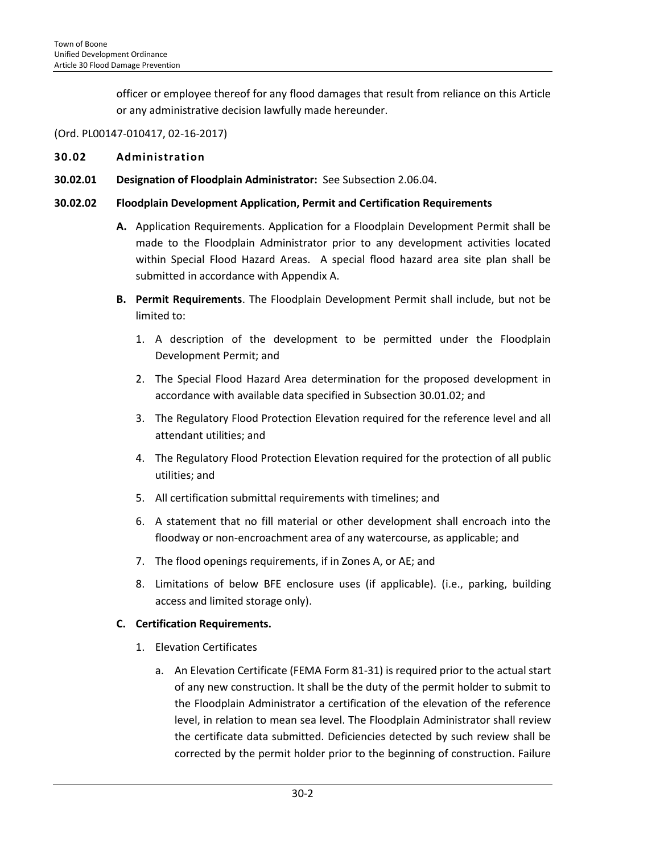officer or employee thereof for any flood damages that result from reliance on this Article or any administrative decision lawfully made hereunder.

# (Ord. PL00147-010417, 02-16-2017)

#### <span id="page-1-0"></span>**30.02 Administration**

**30.02.01 Designation of Floodplain Administrator:** See Subsection 2.06.04.

#### **30.02.02 Floodplain Development Application, Permit and Certification Requirements**

- **A.** Application Requirements. Application for a Floodplain Development Permit shall be made to the Floodplain Administrator prior to any development activities located within Special Flood Hazard Areas. A special flood hazard area site plan shall be submitted in accordance with Appendix A.
- **B. Permit Requirements**. The Floodplain Development Permit shall include, but not be limited to:
	- 1. A description of the development to be permitted under the Floodplain Development Permit; and
	- 2. The Special Flood Hazard Area determination for the proposed development in accordance with available data specified in Subsection 30.01.02; and
	- 3. The Regulatory Flood Protection Elevation required for the reference level and all attendant utilities; and
	- 4. The Regulatory Flood Protection Elevation required for the protection of all public utilities; and
	- 5. All certification submittal requirements with timelines; and
	- 6. A statement that no fill material or other development shall encroach into the floodway or non-encroachment area of any watercourse, as applicable; and
	- 7. The flood openings requirements, if in Zones A, or AE; and
	- 8. Limitations of below BFE enclosure uses (if applicable). (i.e., parking, building access and limited storage only).

# **C. Certification Requirements.**

- 1. Elevation Certificates
	- a. An Elevation Certificate (FEMA Form 81-31) is required prior to the actual start of any new construction. It shall be the duty of the permit holder to submit to the Floodplain Administrator a certification of the elevation of the reference level, in relation to mean sea level. The Floodplain Administrator shall review the certificate data submitted. Deficiencies detected by such review shall be corrected by the permit holder prior to the beginning of construction. Failure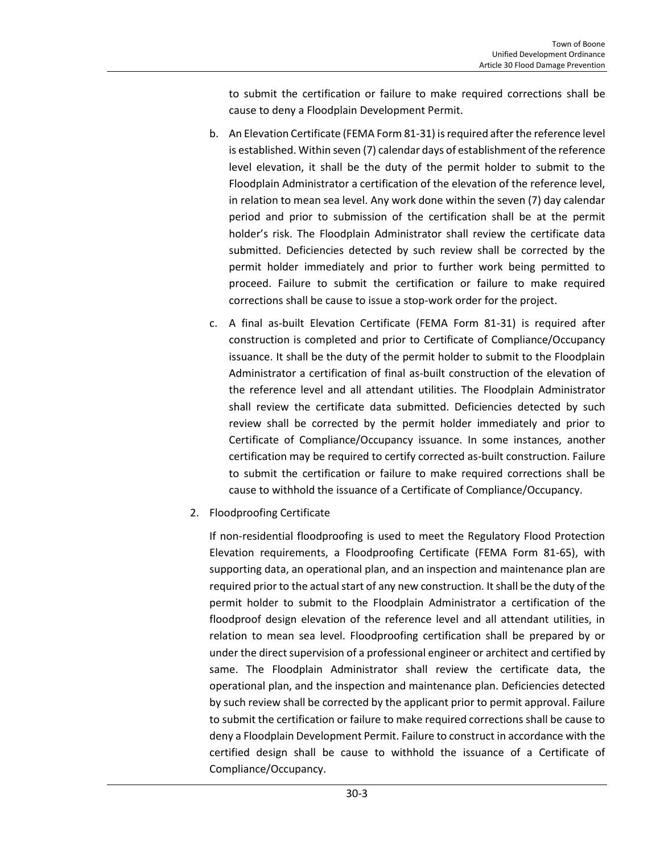to submit the certification or failure to make required corrections shall be cause to deny a Floodplain Development Permit.

- b. An Elevation Certificate (FEMA Form 81-31) is required after the reference level is established. Within seven (7) calendar days of establishment of the reference level elevation, it shall be the duty of the permit holder to submit to the Floodplain Administrator a certification of the elevation of the reference level, in relation to mean sea level. Any work done within the seven (7) day calendar period and prior to submission of the certification shall be at the permit holder's risk. The Floodplain Administrator shall review the certificate data submitted. Deficiencies detected by such review shall be corrected by the permit holder immediately and prior to further work being permitted to proceed. Failure to submit the certification or failure to make required corrections shall be cause to issue a stop-work order for the project.
- c. A final as-built Elevation Certificate (FEMA Form 81-31) is required after construction is completed and prior to Certificate of Compliance/Occupancy issuance. It shall be the duty of the permit holder to submit to the Floodplain Administrator a certification of final as-built construction of the elevation of the reference level and all attendant utilities. The Floodplain Administrator shall review the certificate data submitted. Deficiencies detected by such review shall be corrected by the permit holder immediately and prior to Certificate of Compliance/Occupancy issuance. In some instances, another certification may be required to certify corrected as-built construction. Failure to submit the certification or failure to make required corrections shall be cause to withhold the issuance of a Certificate of Compliance/Occupancy.
- 2. Floodproofing Certificate

If non-residential floodproofing is used to meet the Regulatory Flood Protection Elevation requirements, a Floodproofing Certificate (FEMA Form 81-65), with supporting data, an operational plan, and an inspection and maintenance plan are required prior to the actual start of any new construction. It shall be the duty of the permit holder to submit to the Floodplain Administrator a certification of the floodproof design elevation of the reference level and all attendant utilities, in relation to mean sea level. Floodproofing certification shall be prepared by or under the direct supervision of a professional engineer or architect and certified by same. The Floodplain Administrator shall review the certificate data, the operational plan, and the inspection and maintenance plan. Deficiencies detected by such review shall be corrected by the applicant prior to permit approval. Failure to submit the certification or failure to make required corrections shall be cause to deny a Floodplain Development Permit. Failure to construct in accordance with the certified design shall be cause to withhold the issuance of a Certificate of Compliance/Occupancy.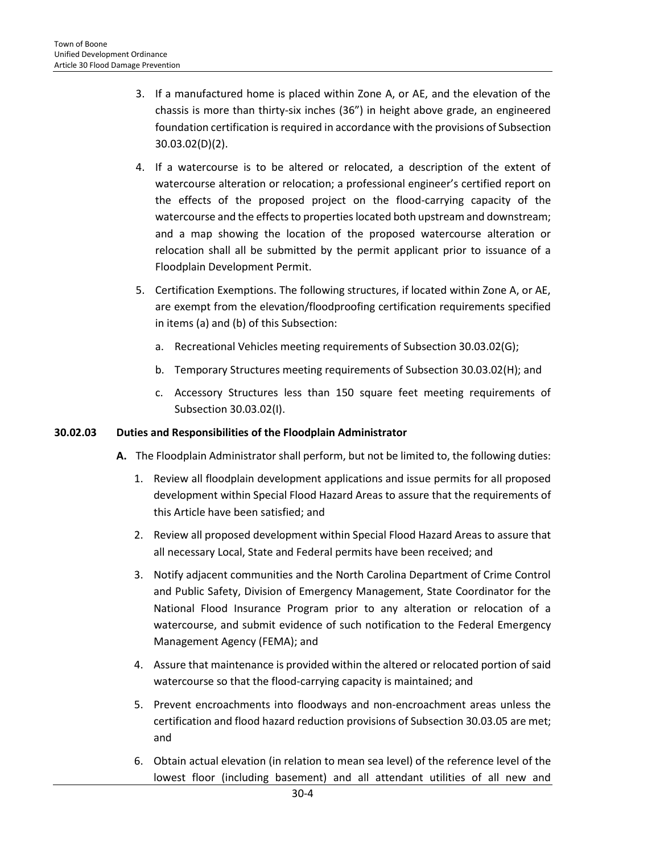- 3. If a manufactured home is placed within Zone A, or AE, and the elevation of the chassis is more than thirty-six inches (36") in height above grade, an engineered foundation certification is required in accordance with the provisions of Subsection 30.03.02(D)(2).
- 4. If a watercourse is to be altered or relocated, a description of the extent of watercourse alteration or relocation; a professional engineer's certified report on the effects of the proposed project on the flood-carrying capacity of the watercourse and the effects to properties located both upstream and downstream; and a map showing the location of the proposed watercourse alteration or relocation shall all be submitted by the permit applicant prior to issuance of a Floodplain Development Permit.
- 5. Certification Exemptions. The following structures, if located within Zone A, or AE, are exempt from the elevation/floodproofing certification requirements specified in items (a) and (b) of this Subsection:
	- a. Recreational Vehicles meeting requirements of Subsection 30.03.02(G);
	- b. Temporary Structures meeting requirements of Subsection 30.03.02(H); and
	- c. Accessory Structures less than 150 square feet meeting requirements of Subsection 30.03.02(I).

#### **30.02.03 Duties and Responsibilities of the Floodplain Administrator**

- **A.** The Floodplain Administrator shall perform, but not be limited to, the following duties:
	- 1. Review all floodplain development applications and issue permits for all proposed development within Special Flood Hazard Areas to assure that the requirements of this Article have been satisfied; and
	- 2. Review all proposed development within Special Flood Hazard Areas to assure that all necessary Local, State and Federal permits have been received; and
	- 3. Notify adjacent communities and the North Carolina Department of Crime Control and Public Safety, Division of Emergency Management, State Coordinator for the National Flood Insurance Program prior to any alteration or relocation of a watercourse, and submit evidence of such notification to the Federal Emergency Management Agency (FEMA); and
	- 4. Assure that maintenance is provided within the altered or relocated portion of said watercourse so that the flood-carrying capacity is maintained; and
	- 5. Prevent encroachments into floodways and non-encroachment areas unless the certification and flood hazard reduction provisions of Subsection 30.03.05 are met; and
	- 6. Obtain actual elevation (in relation to mean sea level) of the reference level of the lowest floor (including basement) and all attendant utilities of all new and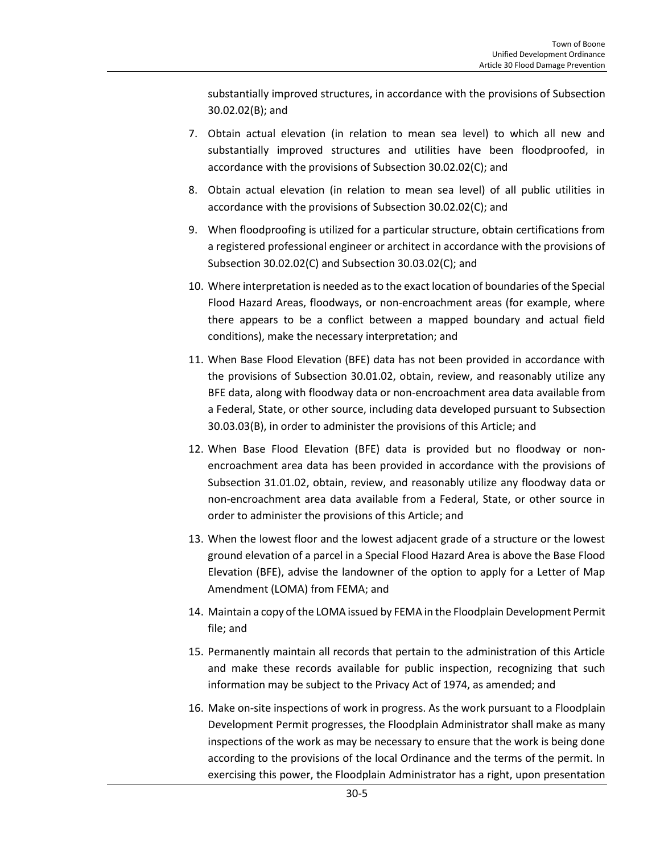substantially improved structures, in accordance with the provisions of Subsection 30.02.02(B); and

- 7. Obtain actual elevation (in relation to mean sea level) to which all new and substantially improved structures and utilities have been floodproofed, in accordance with the provisions of Subsection 30.02.02(C); and
- 8. Obtain actual elevation (in relation to mean sea level) of all public utilities in accordance with the provisions of Subsection 30.02.02(C); and
- 9. When floodproofing is utilized for a particular structure, obtain certifications from a registered professional engineer or architect in accordance with the provisions of Subsection 30.02.02(C) and Subsection 30.03.02(C); and
- 10. Where interpretation is needed as to the exact location of boundaries of the Special Flood Hazard Areas, floodways, or non-encroachment areas (for example, where there appears to be a conflict between a mapped boundary and actual field conditions), make the necessary interpretation; and
- 11. When Base Flood Elevation (BFE) data has not been provided in accordance with the provisions of Subsection 30.01.02, obtain, review, and reasonably utilize any BFE data, along with floodway data or non-encroachment area data available from a Federal, State, or other source, including data developed pursuant to Subsection 30.03.03(B), in order to administer the provisions of this Article; and
- 12. When Base Flood Elevation (BFE) data is provided but no floodway or nonencroachment area data has been provided in accordance with the provisions of Subsection 31.01.02, obtain, review, and reasonably utilize any floodway data or non-encroachment area data available from a Federal, State, or other source in order to administer the provisions of this Article; and
- 13. When the lowest floor and the lowest adjacent grade of a structure or the lowest ground elevation of a parcel in a Special Flood Hazard Area is above the Base Flood Elevation (BFE), advise the landowner of the option to apply for a Letter of Map Amendment (LOMA) from FEMA; and
- 14. Maintain a copy of the LOMA issued by FEMA in the Floodplain Development Permit file; and
- 15. Permanently maintain all records that pertain to the administration of this Article and make these records available for public inspection, recognizing that such information may be subject to the Privacy Act of 1974, as amended; and
- 16. Make on-site inspections of work in progress. As the work pursuant to a Floodplain Development Permit progresses, the Floodplain Administrator shall make as many inspections of the work as may be necessary to ensure that the work is being done according to the provisions of the local Ordinance and the terms of the permit. In exercising this power, the Floodplain Administrator has a right, upon presentation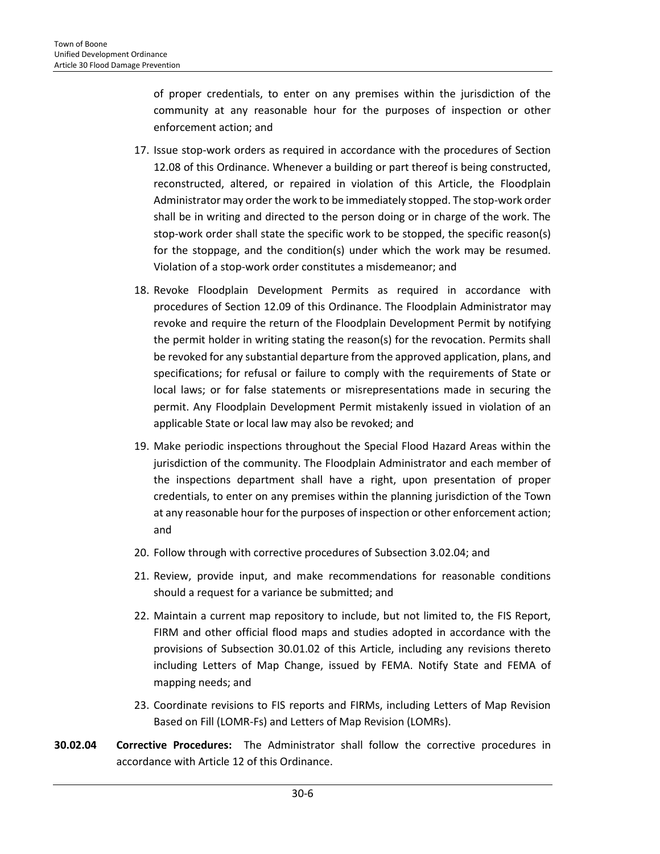of proper credentials, to enter on any premises within the jurisdiction of the community at any reasonable hour for the purposes of inspection or other enforcement action; and

- 17. Issue stop-work orders as required in accordance with the procedures of Section 12.08 of this Ordinance. Whenever a building or part thereof is being constructed, reconstructed, altered, or repaired in violation of this Article, the Floodplain Administrator may order the work to be immediately stopped. The stop-work order shall be in writing and directed to the person doing or in charge of the work. The stop-work order shall state the specific work to be stopped, the specific reason(s) for the stoppage, and the condition(s) under which the work may be resumed. Violation of a stop-work order constitutes a misdemeanor; and
- 18. Revoke Floodplain Development Permits as required in accordance with procedures of Section 12.09 of this Ordinance. The Floodplain Administrator may revoke and require the return of the Floodplain Development Permit by notifying the permit holder in writing stating the reason(s) for the revocation. Permits shall be revoked for any substantial departure from the approved application, plans, and specifications; for refusal or failure to comply with the requirements of State or local laws; or for false statements or misrepresentations made in securing the permit. Any Floodplain Development Permit mistakenly issued in violation of an applicable State or local law may also be revoked; and
- 19. Make periodic inspections throughout the Special Flood Hazard Areas within the jurisdiction of the community. The Floodplain Administrator and each member of the inspections department shall have a right, upon presentation of proper credentials, to enter on any premises within the planning jurisdiction of the Town at any reasonable hour for the purposes of inspection or other enforcement action; and
- 20. Follow through with corrective procedures of Subsection 3.02.04; and
- 21. Review, provide input, and make recommendations for reasonable conditions should a request for a variance be submitted; and
- 22. Maintain a current map repository to include, but not limited to, the FIS Report, FIRM and other official flood maps and studies adopted in accordance with the provisions of Subsection 30.01.02 of this Article, including any revisions thereto including Letters of Map Change, issued by FEMA. Notify State and FEMA of mapping needs; and
- 23. Coordinate revisions to FIS reports and FIRMs, including Letters of Map Revision Based on Fill (LOMR-Fs) and Letters of Map Revision (LOMRs).
- **30.02.04 Corrective Procedures:** The Administrator shall follow the corrective procedures in accordance with Article 12 of this Ordinance.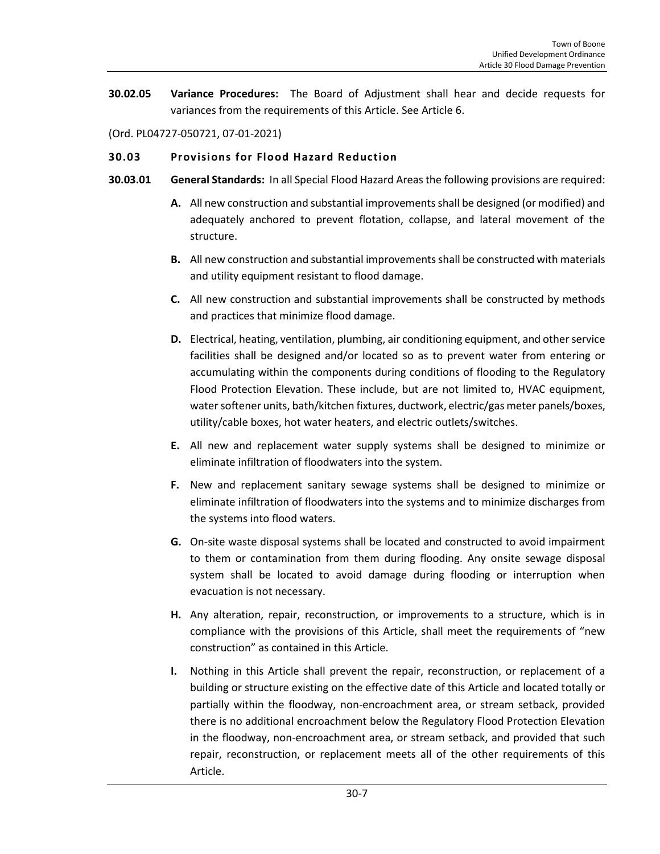**30.02.05 Variance Procedures:** The Board of Adjustment shall hear and decide requests for variances from the requirements of this Article. See Article 6.

(Ord. PL04727-050721, 07-01-2021)

# <span id="page-6-0"></span>**30.03 Provisions for Flood Hazard Reduction**

- **30.03.01 General Standards:** In all Special Flood Hazard Areas the following provisions are required:
	- **A.** All new construction and substantial improvements shall be designed (or modified) and adequately anchored to prevent flotation, collapse, and lateral movement of the structure.
	- **B.** All new construction and substantial improvements shall be constructed with materials and utility equipment resistant to flood damage.
	- **C.** All new construction and substantial improvements shall be constructed by methods and practices that minimize flood damage.
	- **D.** Electrical, heating, ventilation, plumbing, air conditioning equipment, and other service facilities shall be designed and/or located so as to prevent water from entering or accumulating within the components during conditions of flooding to the Regulatory Flood Protection Elevation. These include, but are not limited to, HVAC equipment, water softener units, bath/kitchen fixtures, ductwork, electric/gas meter panels/boxes, utility/cable boxes, hot water heaters, and electric outlets/switches.
	- **E.** All new and replacement water supply systems shall be designed to minimize or eliminate infiltration of floodwaters into the system.
	- **F.** New and replacement sanitary sewage systems shall be designed to minimize or eliminate infiltration of floodwaters into the systems and to minimize discharges from the systems into flood waters.
	- **G.** On-site waste disposal systems shall be located and constructed to avoid impairment to them or contamination from them during flooding. Any onsite sewage disposal system shall be located to avoid damage during flooding or interruption when evacuation is not necessary.
	- **H.** Any alteration, repair, reconstruction, or improvements to a structure, which is in compliance with the provisions of this Article, shall meet the requirements of "new construction" as contained in this Article.
	- **I.** Nothing in this Article shall prevent the repair, reconstruction, or replacement of a building or structure existing on the effective date of this Article and located totally or partially within the floodway, non-encroachment area, or stream setback, provided there is no additional encroachment below the Regulatory Flood Protection Elevation in the floodway, non-encroachment area, or stream setback, and provided that such repair, reconstruction, or replacement meets all of the other requirements of this Article.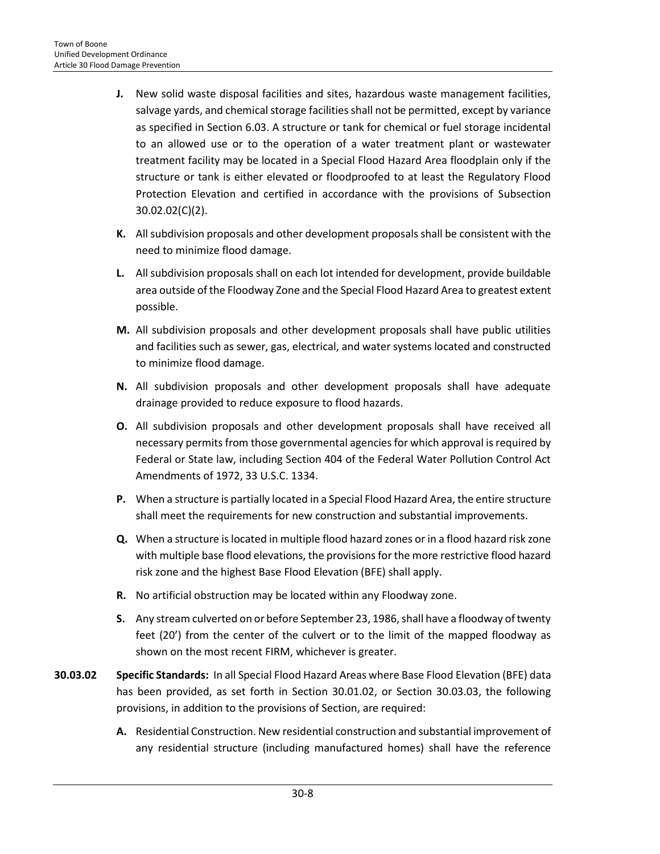- **J.** New solid waste disposal facilities and sites, hazardous waste management facilities, salvage yards, and chemical storage facilities shall not be permitted, except by variance as specified in Section 6.03. A structure or tank for chemical or fuel storage incidental to an allowed use or to the operation of a water treatment plant or wastewater treatment facility may be located in a Special Flood Hazard Area floodplain only if the structure or tank is either elevated or floodproofed to at least the Regulatory Flood Protection Elevation and certified in accordance with the provisions of Subsection 30.02.02(C)(2).
- **K.** All subdivision proposals and other development proposals shall be consistent with the need to minimize flood damage.
- **L.** All subdivision proposals shall on each lot intended for development, provide buildable area outside of the Floodway Zone and the Special Flood Hazard Area to greatest extent possible.
- **M.** All subdivision proposals and other development proposals shall have public utilities and facilities such as sewer, gas, electrical, and water systems located and constructed to minimize flood damage.
- **N.** All subdivision proposals and other development proposals shall have adequate drainage provided to reduce exposure to flood hazards.
- **O.** All subdivision proposals and other development proposals shall have received all necessary permits from those governmental agencies for which approval is required by Federal or State law, including Section 404 of the Federal Water Pollution Control Act Amendments of 1972, 33 U.S.C. 1334.
- **P.** When a structure is partially located in a Special Flood Hazard Area, the entire structure shall meet the requirements for new construction and substantial improvements.
- **Q.** When a structure is located in multiple flood hazard zones or in a flood hazard risk zone with multiple base flood elevations, the provisions for the more restrictive flood hazard risk zone and the highest Base Flood Elevation (BFE) shall apply.
- **R.** No artificial obstruction may be located within any Floodway zone.
- **S.** Any stream culverted on or before September 23, 1986, shall have a floodway of twenty feet (20') from the center of the culvert or to the limit of the mapped floodway as shown on the most recent FIRM, whichever is greater.
- **30.03.02 Specific Standards:** In all Special Flood Hazard Areas where Base Flood Elevation (BFE) data has been provided, as set forth in Section 30.01.02, or Section 30.03.03, the following provisions, in addition to the provisions of Section, are required:
	- **A.** Residential Construction. New residential construction and substantial improvement of any residential structure (including manufactured homes) shall have the reference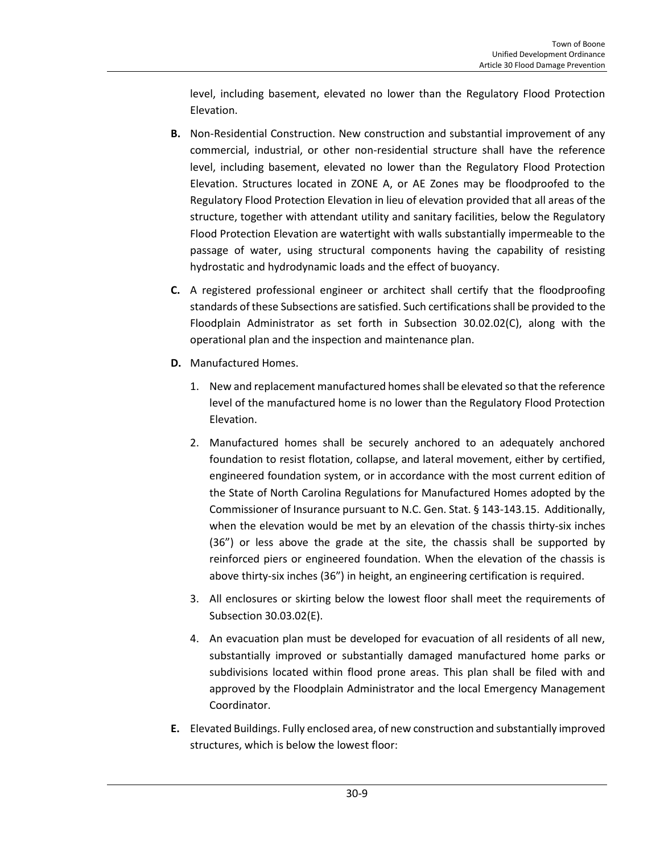level, including basement, elevated no lower than the Regulatory Flood Protection Elevation.

- **B.** Non-Residential Construction. New construction and substantial improvement of any commercial, industrial, or other non-residential structure shall have the reference level, including basement, elevated no lower than the Regulatory Flood Protection Elevation. Structures located in ZONE A, or AE Zones may be floodproofed to the Regulatory Flood Protection Elevation in lieu of elevation provided that all areas of the structure, together with attendant utility and sanitary facilities, below the Regulatory Flood Protection Elevation are watertight with walls substantially impermeable to the passage of water, using structural components having the capability of resisting hydrostatic and hydrodynamic loads and the effect of buoyancy.
- **C.** A registered professional engineer or architect shall certify that the floodproofing standards of these Subsections are satisfied. Such certificationsshall be provided to the Floodplain Administrator as set forth in Subsection 30.02.02(C), along with the operational plan and the inspection and maintenance plan.
- **D.** Manufactured Homes.
	- 1. New and replacement manufactured homes shall be elevated so that the reference level of the manufactured home is no lower than the Regulatory Flood Protection Elevation.
	- 2. Manufactured homes shall be securely anchored to an adequately anchored foundation to resist flotation, collapse, and lateral movement, either by certified, engineered foundation system, or in accordance with the most current edition of the State of North Carolina Regulations for Manufactured Homes adopted by the Commissioner of Insurance pursuant to N.C. Gen. Stat. § 143-143.15. Additionally, when the elevation would be met by an elevation of the chassis thirty-six inches (36") or less above the grade at the site, the chassis shall be supported by reinforced piers or engineered foundation. When the elevation of the chassis is above thirty-six inches (36") in height, an engineering certification is required.
	- 3. All enclosures or skirting below the lowest floor shall meet the requirements of Subsection 30.03.02(E).
	- 4. An evacuation plan must be developed for evacuation of all residents of all new, substantially improved or substantially damaged manufactured home parks or subdivisions located within flood prone areas. This plan shall be filed with and approved by the Floodplain Administrator and the local Emergency Management Coordinator.
- **E.** Elevated Buildings. Fully enclosed area, of new construction and substantially improved structures, which is below the lowest floor: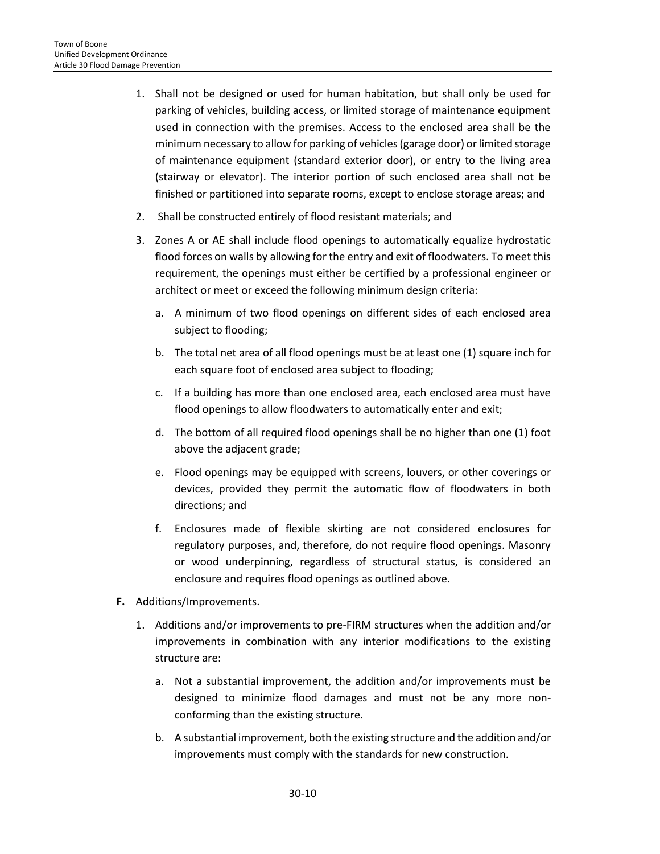- 1. Shall not be designed or used for human habitation, but shall only be used for parking of vehicles, building access, or limited storage of maintenance equipment used in connection with the premises. Access to the enclosed area shall be the minimum necessary to allow for parking of vehicles (garage door) or limited storage of maintenance equipment (standard exterior door), or entry to the living area (stairway or elevator). The interior portion of such enclosed area shall not be finished or partitioned into separate rooms, except to enclose storage areas; and
- 2. Shall be constructed entirely of flood resistant materials; and
- 3. Zones A or AE shall include flood openings to automatically equalize hydrostatic flood forces on walls by allowing for the entry and exit of floodwaters. To meet this requirement, the openings must either be certified by a professional engineer or architect or meet or exceed the following minimum design criteria:
	- a. A minimum of two flood openings on different sides of each enclosed area subject to flooding;
	- b. The total net area of all flood openings must be at least one (1) square inch for each square foot of enclosed area subject to flooding;
	- c. If a building has more than one enclosed area, each enclosed area must have flood openings to allow floodwaters to automatically enter and exit;
	- d. The bottom of all required flood openings shall be no higher than one (1) foot above the adjacent grade;
	- e. Flood openings may be equipped with screens, louvers, or other coverings or devices, provided they permit the automatic flow of floodwaters in both directions; and
	- f. Enclosures made of flexible skirting are not considered enclosures for regulatory purposes, and, therefore, do not require flood openings. Masonry or wood underpinning, regardless of structural status, is considered an enclosure and requires flood openings as outlined above.
- **F.** Additions/Improvements.
	- 1. Additions and/or improvements to pre-FIRM structures when the addition and/or improvements in combination with any interior modifications to the existing structure are:
		- a. Not a substantial improvement, the addition and/or improvements must be designed to minimize flood damages and must not be any more nonconforming than the existing structure.
		- b. A substantial improvement, both the existing structure and the addition and/or improvements must comply with the standards for new construction.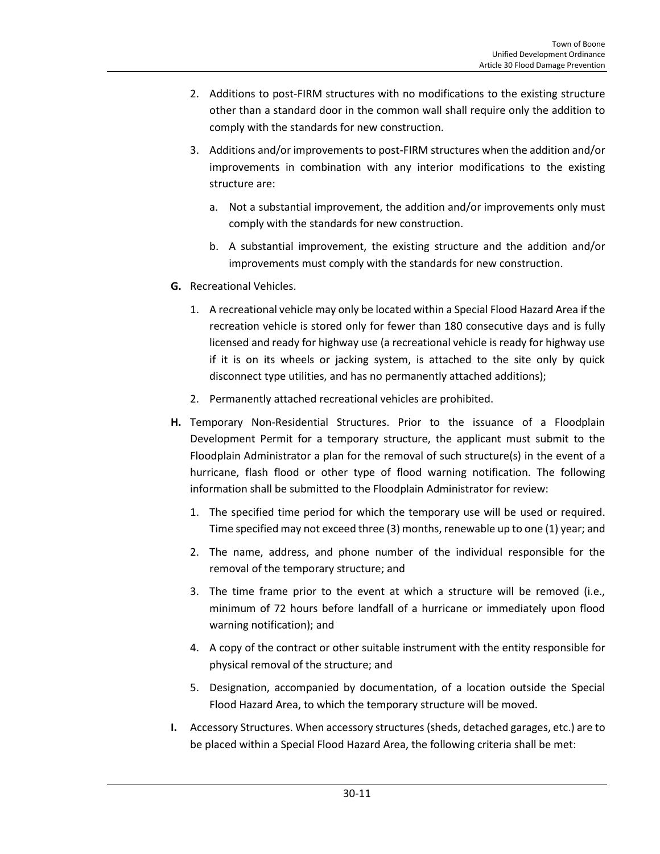- 2. Additions to post-FIRM structures with no modifications to the existing structure other than a standard door in the common wall shall require only the addition to comply with the standards for new construction.
- 3. Additions and/or improvements to post-FIRM structures when the addition and/or improvements in combination with any interior modifications to the existing structure are:
	- a. Not a substantial improvement, the addition and/or improvements only must comply with the standards for new construction.
	- b. A substantial improvement, the existing structure and the addition and/or improvements must comply with the standards for new construction.
- **G.** Recreational Vehicles.
	- 1. A recreational vehicle may only be located within a Special Flood Hazard Area if the recreation vehicle is stored only for fewer than 180 consecutive days and is fully licensed and ready for highway use (a recreational vehicle is ready for highway use if it is on its wheels or jacking system, is attached to the site only by quick disconnect type utilities, and has no permanently attached additions);
	- 2. Permanently attached recreational vehicles are prohibited.
- **H.** Temporary Non-Residential Structures. Prior to the issuance of a Floodplain Development Permit for a temporary structure, the applicant must submit to the Floodplain Administrator a plan for the removal of such structure(s) in the event of a hurricane, flash flood or other type of flood warning notification. The following information shall be submitted to the Floodplain Administrator for review:
	- 1. The specified time period for which the temporary use will be used or required. Time specified may not exceed three (3) months, renewable up to one (1) year; and
	- 2. The name, address, and phone number of the individual responsible for the removal of the temporary structure; and
	- 3. The time frame prior to the event at which a structure will be removed (i.e., minimum of 72 hours before landfall of a hurricane or immediately upon flood warning notification); and
	- 4. A copy of the contract or other suitable instrument with the entity responsible for physical removal of the structure; and
	- 5. Designation, accompanied by documentation, of a location outside the Special Flood Hazard Area, to which the temporary structure will be moved.
- **I.** Accessory Structures. When accessory structures (sheds, detached garages, etc.) are to be placed within a Special Flood Hazard Area, the following criteria shall be met: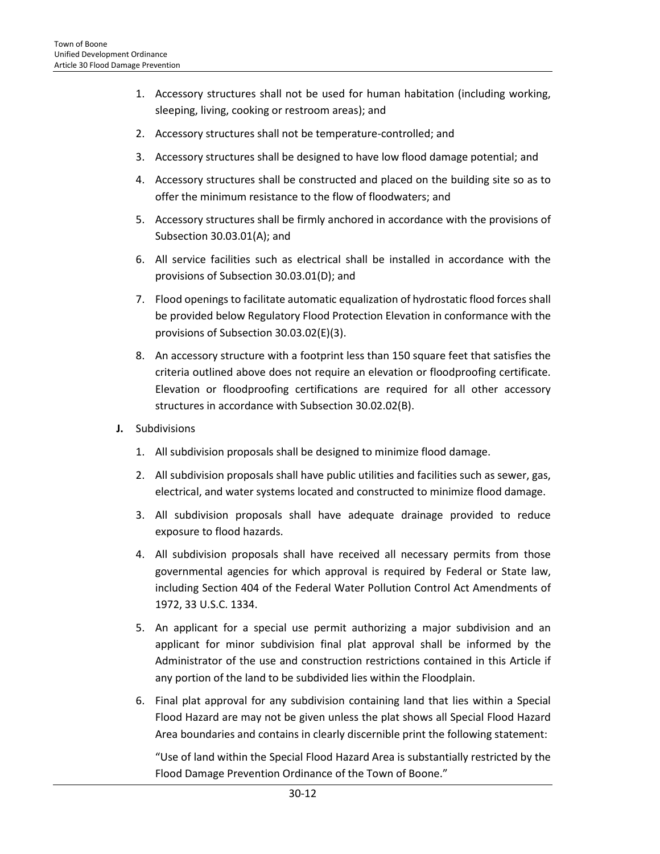- 1. Accessory structures shall not be used for human habitation (including working, sleeping, living, cooking or restroom areas); and
- 2. Accessory structures shall not be temperature-controlled; and
- 3. Accessory structures shall be designed to have low flood damage potential; and
- 4. Accessory structures shall be constructed and placed on the building site so as to offer the minimum resistance to the flow of floodwaters; and
- 5. Accessory structures shall be firmly anchored in accordance with the provisions of Subsection 30.03.01(A); and
- 6. All service facilities such as electrical shall be installed in accordance with the provisions of Subsection 30.03.01(D); and
- 7. Flood openings to facilitate automatic equalization of hydrostatic flood forces shall be provided below Regulatory Flood Protection Elevation in conformance with the provisions of Subsection 30.03.02(E)(3).
- 8. An accessory structure with a footprint less than 150 square feet that satisfies the criteria outlined above does not require an elevation or floodproofing certificate. Elevation or floodproofing certifications are required for all other accessory structures in accordance with Subsection 30.02.02(B).
- **J.** Subdivisions
	- 1. All subdivision proposals shall be designed to minimize flood damage.
	- 2. All subdivision proposals shall have public utilities and facilities such as sewer, gas, electrical, and water systems located and constructed to minimize flood damage.
	- 3. All subdivision proposals shall have adequate drainage provided to reduce exposure to flood hazards.
	- 4. All subdivision proposals shall have received all necessary permits from those governmental agencies for which approval is required by Federal or State law, including Section 404 of the Federal Water Pollution Control Act Amendments of 1972, 33 U.S.C. 1334.
	- 5. An applicant for a special use permit authorizing a major subdivision and an applicant for minor subdivision final plat approval shall be informed by the Administrator of the use and construction restrictions contained in this Article if any portion of the land to be subdivided lies within the Floodplain.
	- 6. Final plat approval for any subdivision containing land that lies within a Special Flood Hazard are may not be given unless the plat shows all Special Flood Hazard Area boundaries and contains in clearly discernible print the following statement:

"Use of land within the Special Flood Hazard Area is substantially restricted by the Flood Damage Prevention Ordinance of the Town of Boone."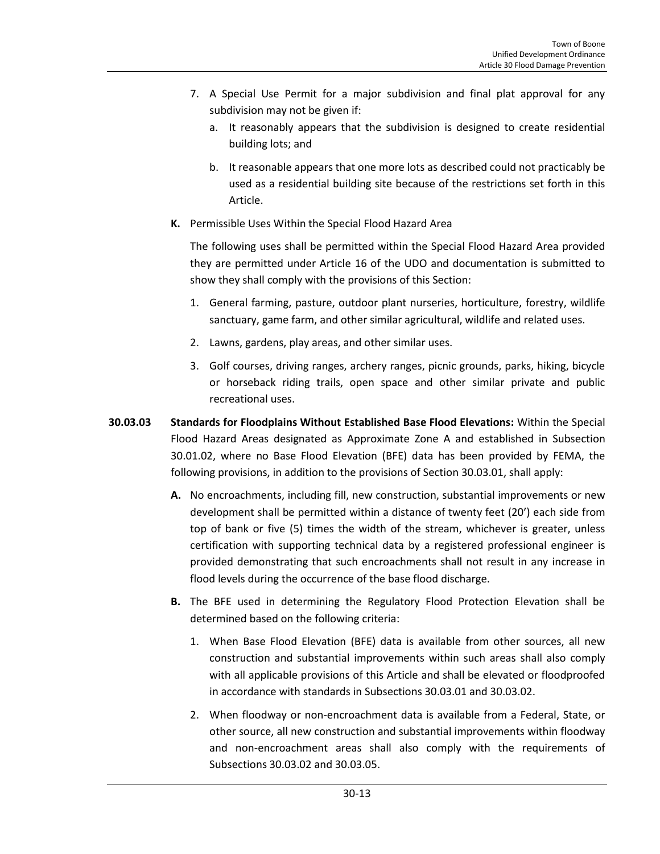- 7. A Special Use Permit for a major subdivision and final plat approval for any subdivision may not be given if:
	- a. It reasonably appears that the subdivision is designed to create residential building lots; and
	- b. It reasonable appears that one more lots as described could not practicably be used as a residential building site because of the restrictions set forth in this Article.
- **K.** Permissible Uses Within the Special Flood Hazard Area

The following uses shall be permitted within the Special Flood Hazard Area provided they are permitted under Article 16 of the UDO and documentation is submitted to show they shall comply with the provisions of this Section:

- 1. General farming, pasture, outdoor plant nurseries, horticulture, forestry, wildlife sanctuary, game farm, and other similar agricultural, wildlife and related uses.
- 2. Lawns, gardens, play areas, and other similar uses.
- 3. Golf courses, driving ranges, archery ranges, picnic grounds, parks, hiking, bicycle or horseback riding trails, open space and other similar private and public recreational uses.
- **30.03.03 Standards for Floodplains Without Established Base Flood Elevations:** Within the Special Flood Hazard Areas designated as Approximate Zone A and established in Subsection 30.01.02, where no Base Flood Elevation (BFE) data has been provided by FEMA, the following provisions, in addition to the provisions of Section 30.03.01, shall apply:
	- **A.** No encroachments, including fill, new construction, substantial improvements or new development shall be permitted within a distance of twenty feet (20') each side from top of bank or five (5) times the width of the stream, whichever is greater, unless certification with supporting technical data by a registered professional engineer is provided demonstrating that such encroachments shall not result in any increase in flood levels during the occurrence of the base flood discharge.
	- **B.** The BFE used in determining the Regulatory Flood Protection Elevation shall be determined based on the following criteria:
		- 1. When Base Flood Elevation (BFE) data is available from other sources, all new construction and substantial improvements within such areas shall also comply with all applicable provisions of this Article and shall be elevated or floodproofed in accordance with standards in Subsections 30.03.01 and 30.03.02.
		- 2. When floodway or non-encroachment data is available from a Federal, State, or other source, all new construction and substantial improvements within floodway and non-encroachment areas shall also comply with the requirements of Subsections 30.03.02 and 30.03.05.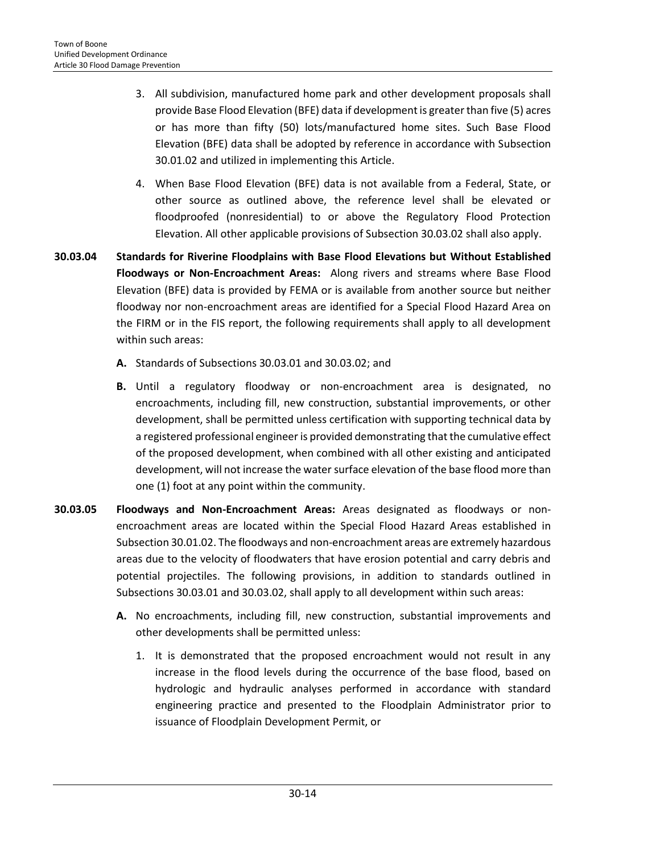- 3. All subdivision, manufactured home park and other development proposals shall provide Base Flood Elevation (BFE) data if development is greater than five (5) acres or has more than fifty (50) lots/manufactured home sites. Such Base Flood Elevation (BFE) data shall be adopted by reference in accordance with Subsection 30.01.02 and utilized in implementing this Article.
- 4. When Base Flood Elevation (BFE) data is not available from a Federal, State, or other source as outlined above, the reference level shall be elevated or floodproofed (nonresidential) to or above the Regulatory Flood Protection Elevation. All other applicable provisions of Subsection 30.03.02 shall also apply.
- **30.03.04 Standards for Riverine Floodplains with Base Flood Elevations but Without Established Floodways or Non-Encroachment Areas:** Along rivers and streams where Base Flood Elevation (BFE) data is provided by FEMA or is available from another source but neither floodway nor non-encroachment areas are identified for a Special Flood Hazard Area on the FIRM or in the FIS report, the following requirements shall apply to all development within such areas:
	- **A.** Standards of Subsections 30.03.01 and 30.03.02; and
	- **B.** Until a regulatory floodway or non-encroachment area is designated, no encroachments, including fill, new construction, substantial improvements, or other development, shall be permitted unless certification with supporting technical data by a registered professional engineer is provided demonstrating that the cumulative effect of the proposed development, when combined with all other existing and anticipated development, will not increase the water surface elevation of the base flood more than one (1) foot at any point within the community.
- **30.03.05 Floodways and Non-Encroachment Areas:** Areas designated as floodways or nonencroachment areas are located within the Special Flood Hazard Areas established in Subsection 30.01.02. The floodways and non-encroachment areas are extremely hazardous areas due to the velocity of floodwaters that have erosion potential and carry debris and potential projectiles. The following provisions, in addition to standards outlined in Subsections 30.03.01 and 30.03.02, shall apply to all development within such areas:
	- **A.** No encroachments, including fill, new construction, substantial improvements and other developments shall be permitted unless:
		- 1. It is demonstrated that the proposed encroachment would not result in any increase in the flood levels during the occurrence of the base flood, based on hydrologic and hydraulic analyses performed in accordance with standard engineering practice and presented to the Floodplain Administrator prior to issuance of Floodplain Development Permit, or